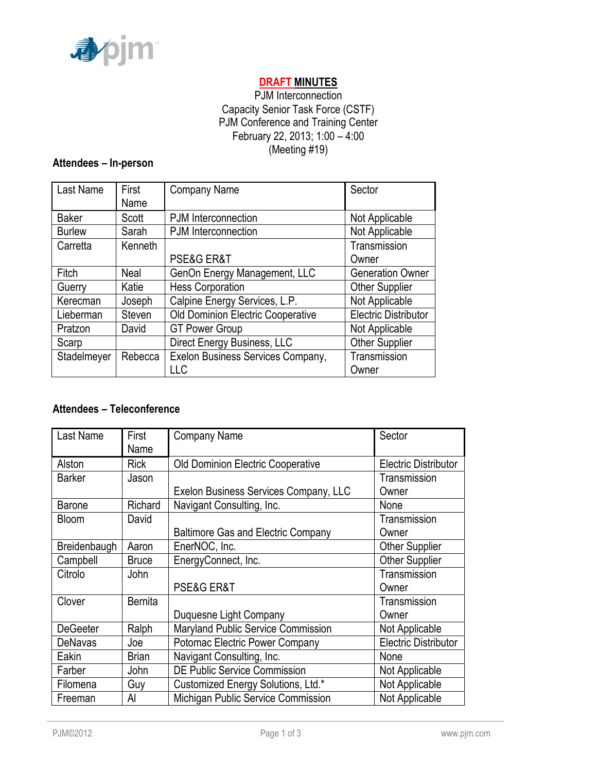

# **DRAFT MINUTES**

## PJM Interconnection Capacity Senior Task Force (CSTF) PJM Conference and Training Center February 22, 2013; 1:00 – 4:00 (Meeting #19)

## **Attendees – In-person**

| <b>Last Name</b> | First<br>Name | <b>Company Name</b>               | Sector                      |
|------------------|---------------|-----------------------------------|-----------------------------|
| <b>Baker</b>     | Scott         | PJM Interconnection               | Not Applicable              |
| <b>Burlew</b>    | Sarah         | PJM Interconnection               | Not Applicable              |
| Carretta         | Kenneth       |                                   | Transmission                |
|                  |               | <b>PSE&amp;G ER&amp;T</b>         | Owner                       |
| Fitch            | Neal          | GenOn Energy Management, LLC      | <b>Generation Owner</b>     |
| Guerry           | Katie         | <b>Hess Corporation</b>           | <b>Other Supplier</b>       |
| Kerecman         | Joseph        | Calpine Energy Services, L.P.     | Not Applicable              |
| Lieberman        | Steven        | Old Dominion Electric Cooperative | <b>Electric Distributor</b> |
| Pratzon          | David         | <b>GT Power Group</b>             | Not Applicable              |
| Scarp            |               | Direct Energy Business, LLC       | <b>Other Supplier</b>       |
| Stadelmeyer      | Rebecca       | Exelon Business Services Company, | Transmission                |
|                  |               | LLC                               | Owner                       |

## **Attendees – Teleconference**

| Last Name       | First<br>Name  | <b>Company Name</b>                       | Sector                      |
|-----------------|----------------|-------------------------------------------|-----------------------------|
| Alston          | <b>Rick</b>    | <b>Old Dominion Electric Cooperative</b>  | <b>Electric Distributor</b> |
|                 |                |                                           |                             |
| <b>Barker</b>   | Jason          |                                           | Transmission                |
|                 |                | Exelon Business Services Company, LLC     | Owner                       |
| Barone          | Richard        | Navigant Consulting, Inc.                 | None                        |
| <b>Bloom</b>    | David          |                                           | Transmission                |
|                 |                | <b>Baltimore Gas and Electric Company</b> | Owner                       |
| Breidenbaugh    | Aaron          | EnerNOC, Inc.                             | <b>Other Supplier</b>       |
| Campbell        | <b>Bruce</b>   | EnergyConnect, Inc.                       | <b>Other Supplier</b>       |
| Citrolo         | John           |                                           | Transmission                |
|                 |                | PSE&G ER&T                                | Owner                       |
| Clover          | <b>Bernita</b> |                                           | Transmission                |
|                 |                | Duquesne Light Company                    | Owner                       |
| <b>DeGeeter</b> | Ralph          | <b>Maryland Public Service Commission</b> | Not Applicable              |
| <b>DeNavas</b>  | Joe            | <b>Potomac Electric Power Company</b>     | <b>Electric Distributor</b> |
| Eakin           | <b>Brian</b>   | Navigant Consulting, Inc.                 | None                        |
| Farber          | John           | <b>DE Public Service Commission</b>       | Not Applicable              |
| Filomena        | Guy            | Customized Energy Solutions, Ltd.*        | Not Applicable              |
| Freeman         | Al             | Michigan Public Service Commission        | Not Applicable              |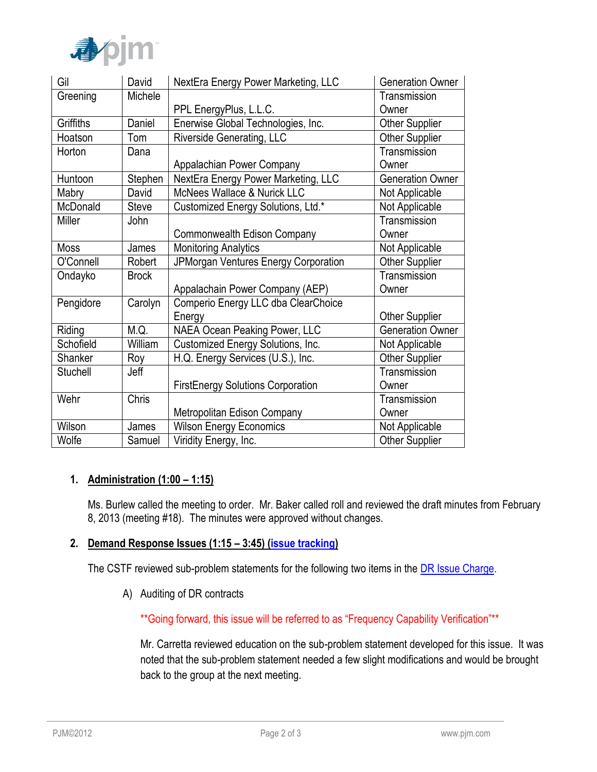

| Gil         | David        | NextEra Energy Power Marketing, LLC      | <b>Generation Owner</b> |
|-------------|--------------|------------------------------------------|-------------------------|
| Greening    | Michele      |                                          | Transmission            |
|             |              | PPL EnergyPlus, L.L.C.                   | Owner                   |
| Griffiths   | Daniel       | Enerwise Global Technologies, Inc.       | <b>Other Supplier</b>   |
| Hoatson     | Tom          | <b>Riverside Generating, LLC</b>         | <b>Other Supplier</b>   |
| Horton      | Dana         |                                          | Transmission            |
|             |              | Appalachian Power Company                | Owner                   |
| Huntoon     | Stephen      | NextEra Energy Power Marketing, LLC      | <b>Generation Owner</b> |
| Mabry       | David        | McNees Wallace & Nurick LLC              | Not Applicable          |
| McDonald    | Steve        | Customized Energy Solutions, Ltd.*       | Not Applicable          |
| Miller      | John         |                                          | Transmission            |
|             |              | Commonwealth Edison Company              | Owner                   |
| <b>Moss</b> | James        | <b>Monitoring Analytics</b>              | Not Applicable          |
| O'Connell   | Robert       | JPMorgan Ventures Energy Corporation     | <b>Other Supplier</b>   |
| Ondayko     | <b>Brock</b> |                                          | Transmission            |
|             |              | Appalachain Power Company (AEP)          | Owner                   |
| Pengidore   | Carolyn      | Comperio Energy LLC dba ClearChoice      |                         |
|             |              | Energy                                   | <b>Other Supplier</b>   |
| Riding      | M.Q.         | <b>NAEA Ocean Peaking Power, LLC</b>     | <b>Generation Owner</b> |
| Schofield   | William      | Customized Energy Solutions, Inc.        | Not Applicable          |
| Shanker     | Roy          | H.Q. Energy Services (U.S.), Inc.        | <b>Other Supplier</b>   |
| Stuchell    | Jeff         |                                          | Transmission            |
|             |              | <b>FirstEnergy Solutions Corporation</b> | Owner                   |
| Wehr        | Chris        |                                          | Transmission            |
|             |              | Metropolitan Edison Company              | Owner                   |
| Wilson      | James        | <b>Wilson Energy Economics</b>           | Not Applicable          |
| Wolfe       | Samuel       | Viridity Energy, Inc.                    | <b>Other Supplier</b>   |

## **1. Administration (1:00 – 1:15)**

Ms. Burlew called the meeting to order. Mr. Baker called roll and reviewed the draft minutes from February 8, 2013 (meeting #18). The minutes were approved without changes.

### **2. Demand Response Issues (1:15 – 3:45) [\(issue tracking\)](http://www.pjm.com/committees-and-groups/issue-tracking/issue-tracking-details.aspx?Issue=%7b4777F504-03E3-4293-AF53-9AE91A2AB0A6%7d)**

The CSTF reviewed sub-problem statements for the following two items in the [DR Issue Charge.](http://www.pjm.com/~/media/committees-groups/task-forces/cstf/20120814/20120814-item-02-rpm-dr-issue-charge.ashx)

A) Auditing of DR contracts

\*\*Going forward, this issue will be referred to as "Frequency Capability Verification"\*\*

Mr. Carretta reviewed education on the sub-problem statement developed for this issue. It was noted that the sub-problem statement needed a few slight modifications and would be brought back to the group at the next meeting.